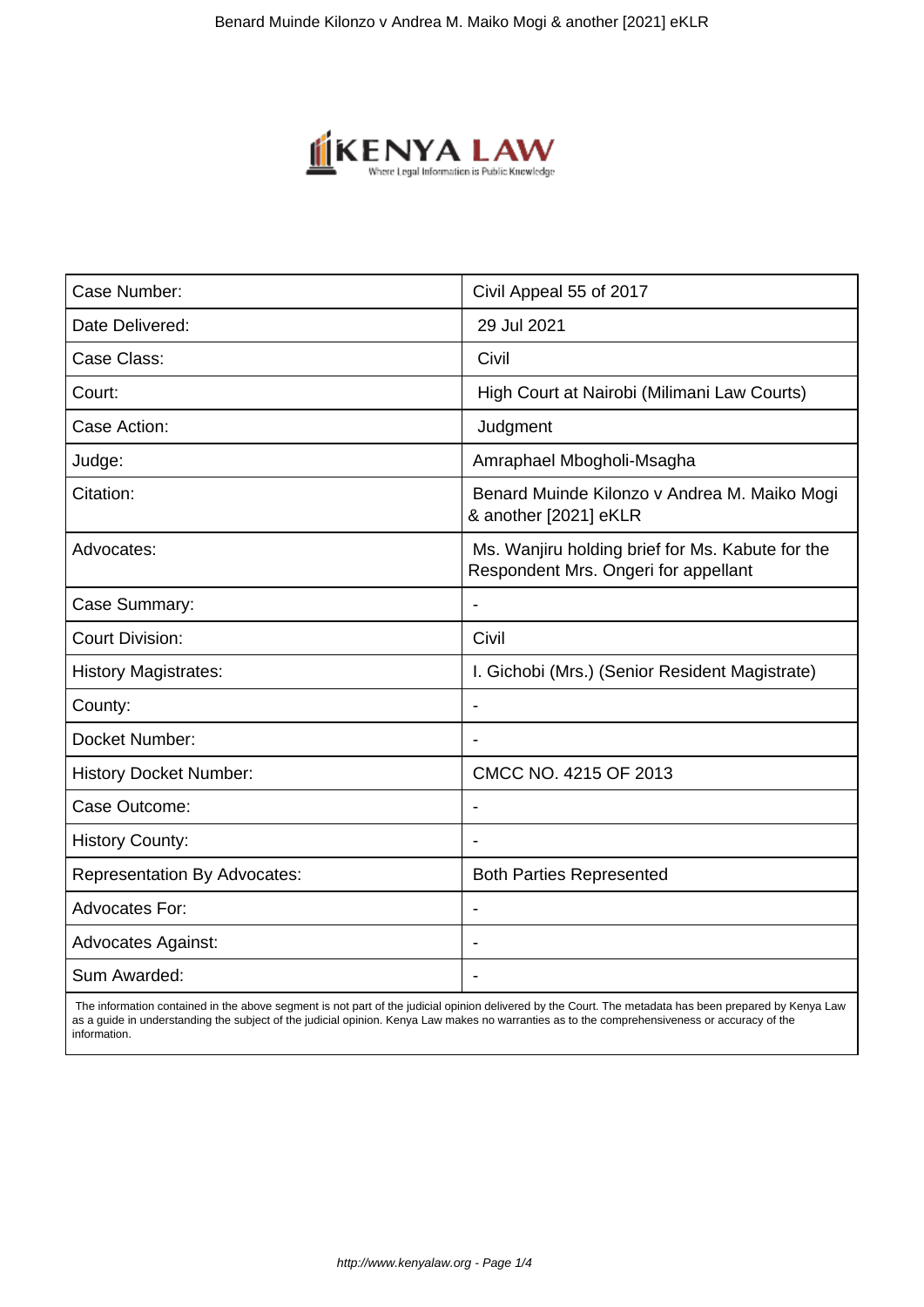

| Case Number:                        | Civil Appeal 55 of 2017                                                                  |
|-------------------------------------|------------------------------------------------------------------------------------------|
| Date Delivered:                     | 29 Jul 2021                                                                              |
| Case Class:                         | Civil                                                                                    |
| Court:                              | High Court at Nairobi (Milimani Law Courts)                                              |
| Case Action:                        | Judgment                                                                                 |
| Judge:                              | Amraphael Mbogholi-Msagha                                                                |
| Citation:                           | Benard Muinde Kilonzo v Andrea M. Maiko Mogi<br>& another [2021] eKLR                    |
| Advocates:                          | Ms. Wanjiru holding brief for Ms. Kabute for the<br>Respondent Mrs. Ongeri for appellant |
| Case Summary:                       | $\blacksquare$                                                                           |
| <b>Court Division:</b>              | Civil                                                                                    |
| <b>History Magistrates:</b>         | I. Gichobi (Mrs.) (Senior Resident Magistrate)                                           |
| County:                             |                                                                                          |
| Docket Number:                      | $\overline{\phantom{a}}$                                                                 |
| <b>History Docket Number:</b>       | CMCC NO. 4215 OF 2013                                                                    |
| Case Outcome:                       |                                                                                          |
| <b>History County:</b>              |                                                                                          |
| <b>Representation By Advocates:</b> | <b>Both Parties Represented</b>                                                          |
| <b>Advocates For:</b>               |                                                                                          |
| <b>Advocates Against:</b>           |                                                                                          |
| Sum Awarded:                        |                                                                                          |

 The information contained in the above segment is not part of the judicial opinion delivered by the Court. The metadata has been prepared by Kenya Law as a guide in understanding the subject of the judicial opinion. Kenya Law makes no warranties as to the comprehensiveness or accuracy of the information.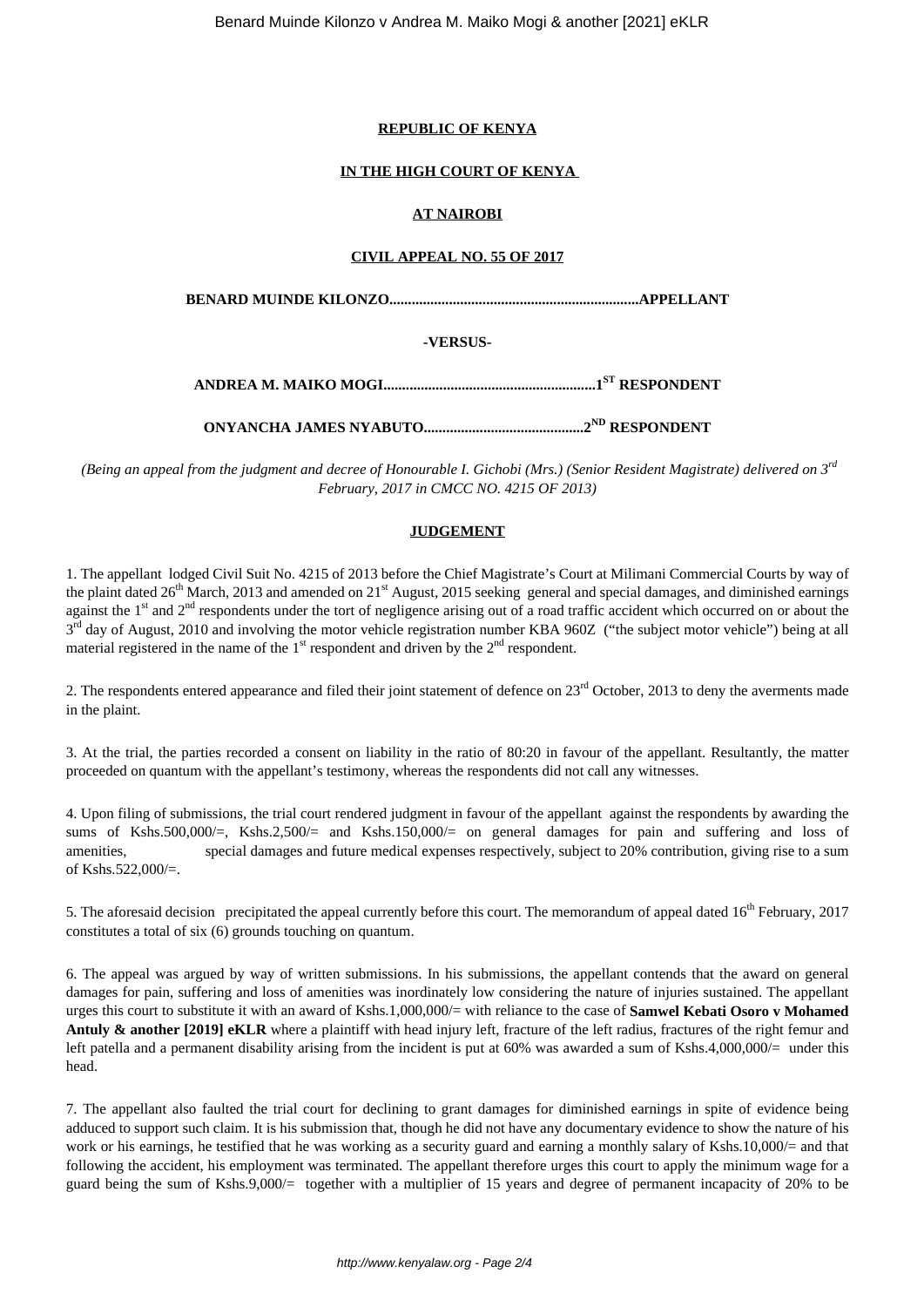#### **REPUBLIC OF KENYA**

# **IN THE HIGH COURT OF KENYA**

# **AT NAIROBI**

#### **CIVIL APPEAL NO. 55 OF 2017**

**BENARD MUINDE KILONZO...................................................................APPELLANT**

# **-VERSUS-**

**ANDREA M. MAIKO MOGI.........................................................1ST RESPONDENT**

**ONYANCHA JAMES NYABUTO...........................................2ND RESPONDENT**

*(Being an appeal from the judgment and decree of Honourable I. Gichobi (Mrs.) (Senior Resident Magistrate) delivered on 3rd February, 2017 in CMCC NO. 4215 OF 2013)*

# **JUDGEMENT**

1. The appellant lodged Civil Suit No. 4215 of 2013 before the Chief Magistrate's Court at Milimani Commercial Courts by way of the plaint dated 26<sup>th</sup> March, 2013 and amended on 21<sup>st</sup> August, 2015 seeking general and special damages, and diminished earnings against the 1<sup>st</sup> and 2<sup>nd</sup> respondents under the tort of negligence arising out of a road traffic accident which occurred on or about the 3<sup>rd</sup> day of August, 2010 and involving the motor vehicle registration number KBA 960Z ("the subject motor vehicle") being at all material registered in the name of the  $1<sup>st</sup>$  respondent and driven by the  $2<sup>nd</sup>$  respondent.

2. The respondents entered appearance and filed their joint statement of defence on  $23<sup>rd</sup>$  October, 2013 to deny the averments made in the plaint.

3. At the trial, the parties recorded a consent on liability in the ratio of 80:20 in favour of the appellant. Resultantly, the matter proceeded on quantum with the appellant's testimony, whereas the respondents did not call any witnesses.

4. Upon filing of submissions, the trial court rendered judgment in favour of the appellant against the respondents by awarding the sums of Kshs.500,000/=, Kshs.2,500/= and Kshs.150,000/= on general damages for pain and suffering and loss of amenities, special damages and future medical expenses respectively, subject to 20% contribution, giving rise to a sum of Kshs.522,000/=.

5. The aforesaid decision precipitated the appeal currently before this court. The memorandum of appeal dated  $16<sup>th</sup>$  February, 2017 constitutes a total of six (6) grounds touching on quantum.

6. The appeal was argued by way of written submissions. In his submissions, the appellant contends that the award on general damages for pain, suffering and loss of amenities was inordinately low considering the nature of injuries sustained. The appellant urges this court to substitute it with an award of Kshs.1,000,000/= with reliance to the case of **Samwel Kebati Osoro v Mohamed** Antuly & another [2019] eKLR where a plaintiff with head injury left, fracture of the left radius, fractures of the right femur and left patella and a permanent disability arising from the incident is put at 60% was awarded a sum of Kshs.4,000,000/= under this head.

7. The appellant also faulted the trial court for declining to grant damages for diminished earnings in spite of evidence being adduced to support such claim. It is his submission that, though he did not have any documentary evidence to show the nature of his work or his earnings, he testified that he was working as a security guard and earning a monthly salary of Kshs.10,000/= and that following the accident, his employment was terminated. The appellant therefore urges this court to apply the minimum wage for a guard being the sum of Kshs.9,000/= together with a multiplier of 15 years and degree of permanent incapacity of 20% to be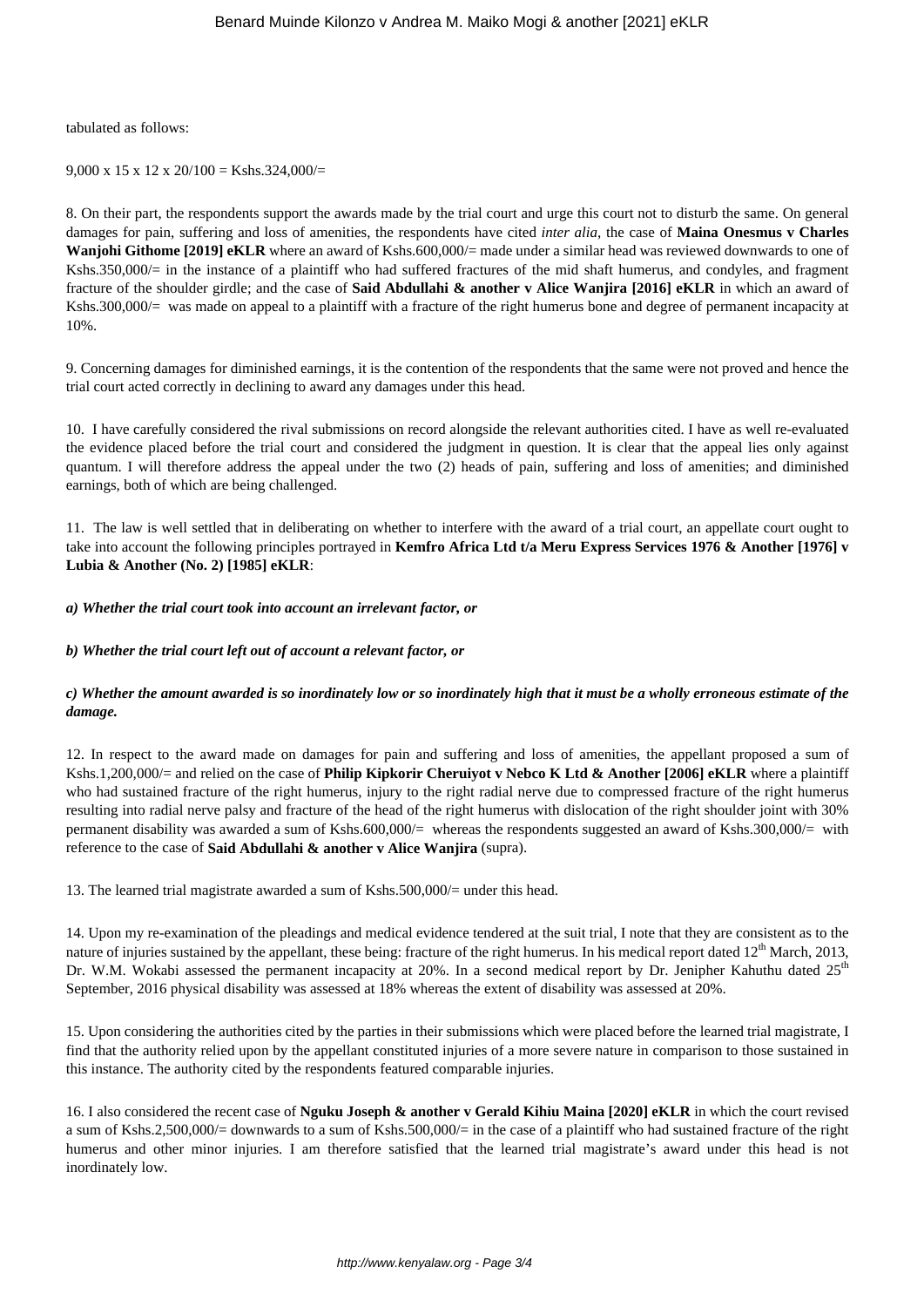# tabulated as follows:

 $9,000 \times 15 \times 12 \times 20/100 =$ Kshs.324,000/=

8. On their part, the respondents support the awards made by the trial court and urge this court not to disturb the same. On general damages for pain, suffering and loss of amenities, the respondents have cited *inter alia*, the case of **Maina Onesmus v Charles Wanjohi Githome [2019] eKLR** where an award of Kshs.600,000/= made under a similar head was reviewed downwards to one of Kshs.350,000/= in the instance of a plaintiff who had suffered fractures of the mid shaft humerus, and condyles, and fragment fracture of the shoulder girdle; and the case of **Said Abdullahi & another v Alice Wanjira [2016] eKLR** in which an award of Kshs.300,000/= was made on appeal to a plaintiff with a fracture of the right humerus bone and degree of permanent incapacity at 10%.

9. Concerning damages for diminished earnings, it is the contention of the respondents that the same were not proved and hence the trial court acted correctly in declining to award any damages under this head.

10. I have carefully considered the rival submissions on record alongside the relevant authorities cited. I have as well re-evaluated the evidence placed before the trial court and considered the judgment in question. It is clear that the appeal lies only against quantum. I will therefore address the appeal under the two (2) heads of pain, suffering and loss of amenities; and diminished earnings, both of which are being challenged.

11. The law is well settled that in deliberating on whether to interfere with the award of a trial court, an appellate court ought to take into account the following principles portrayed in **Kemfro Africa Ltd t/a Meru Express Services 1976 & Another [1976] v Lubia & Another (No. 2) [1985] eKLR**:

*a) Whether the trial court took into account an irrelevant factor, or* 

*b) Whether the trial court left out of account a relevant factor, or* 

# *c) Whether the amount awarded is so inordinately low or so inordinately high that it must be a wholly erroneous estimate of the damage.*

12. In respect to the award made on damages for pain and suffering and loss of amenities, the appellant proposed a sum of Kshs.1,200,000/= and relied on the case of **Philip Kipkorir Cheruiyot v Nebco K Ltd & Another [2006] eKLR** where a plaintiff who had sustained fracture of the right humerus, injury to the right radial nerve due to compressed fracture of the right humerus resulting into radial nerve palsy and fracture of the head of the right humerus with dislocation of the right shoulder joint with 30% permanent disability was awarded a sum of Kshs.600,000/= whereas the respondents suggested an award of Kshs.300,000/= with reference to the case of **Said Abdullahi & another v Alice Wanjira** (supra).

13. The learned trial magistrate awarded a sum of Kshs.500,000/= under this head.

14. Upon my re-examination of the pleadings and medical evidence tendered at the suit trial, I note that they are consistent as to the nature of injuries sustained by the appellant, these being: fracture of the right humerus. In his medical report dated  $12<sup>th</sup>$  March, 2013, Dr. W.M. Wokabi assessed the permanent incapacity at 20%. In a second medical report by Dr. Jenipher Kahuthu dated 25<sup>th</sup> September, 2016 physical disability was assessed at 18% whereas the extent of disability was assessed at 20%.

15. Upon considering the authorities cited by the parties in their submissions which were placed before the learned trial magistrate, I find that the authority relied upon by the appellant constituted injuries of a more severe nature in comparison to those sustained in this instance. The authority cited by the respondents featured comparable injuries.

16. I also considered the recent case of **Nguku Joseph & another v Gerald Kihiu Maina [2020] eKLR** in which the court revised a sum of Kshs.2,500,000/= downwards to a sum of Kshs.500,000/= in the case of a plaintiff who had sustained fracture of the right humerus and other minor injuries. I am therefore satisfied that the learned trial magistrate's award under this head is not inordinately low.